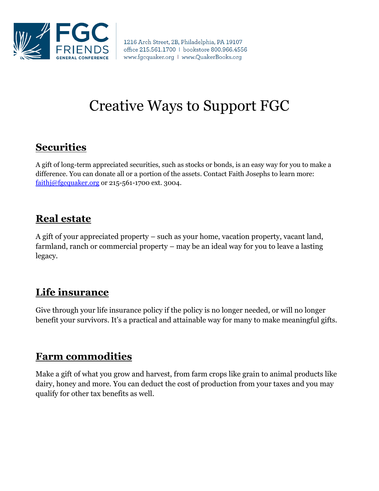

1216 Arch Street, 2B, Philadelphia, PA 19107 office 215.561.1700 | bookstore 800.966.4556 www.fgcquaker.org | www.QuakerBooks.org

# Creative Ways to Support FGC

## **Securities**

A gift of long-term appreciated securities, such as stocks or bonds, is an easy way for you to make a difference. You can donate all or a portion of the assets. Contact Faith Josephs to learn more: [faithj@fgcquaker.org](mailto:faithj@fgcquaker.org) or 215-561-1700 ext. 3004.

#### **Real estate**

A gift of your appreciated property – such as your home, vacation property, vacant land, farmland, ranch or commercial property – may be an ideal way for you to leave a lasting legacy.

## **Life insurance**

Give through your life insurance policy if the policy is no longer needed, or will no longer benefit your survivors. It's a practical and attainable way for many to make meaningful gifts.

#### **Farm commodities**

Make a gift of what you grow and harvest, from farm crops like grain to animal products like dairy, honey and more. You can deduct the cost of production from your taxes and you may qualify for other tax benefits as well.